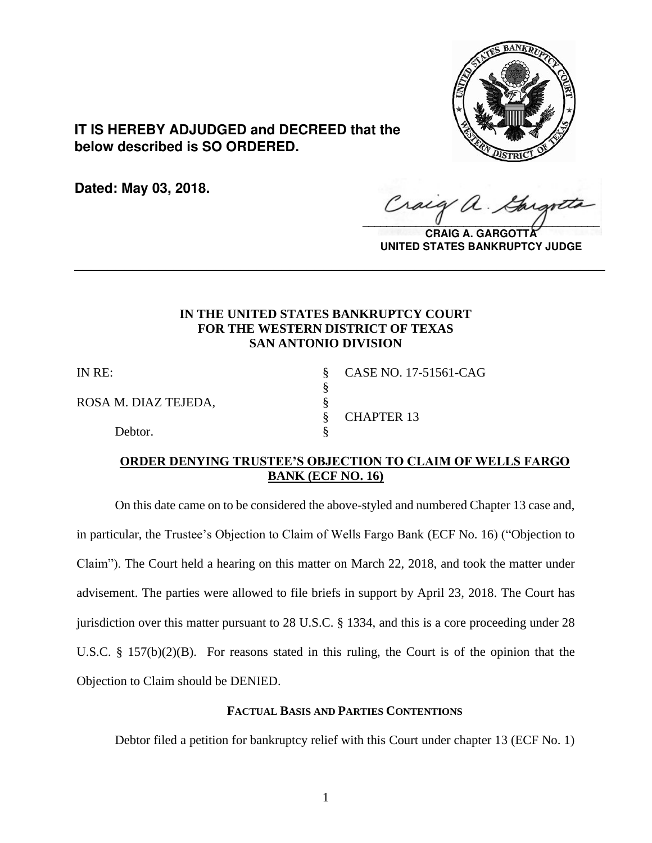

**IT IS HEREBY ADJUDGED and DECREED that the below described is SO ORDERED.**

**Dated: May 03, 2018.**

Craig  $\sqrt{2}$ 

**CRAIG A. GARGOTTA UNITED STATES BANKRUPTCY JUDGE**

## **IN THE UNITED STATES BANKRUPTCY COURT FOR THE WESTERN DISTRICT OF TEXAS SAN ANTONIO DIVISION**

**\_\_\_\_\_\_\_\_\_\_\_\_\_\_\_\_\_\_\_\_\_\_\_\_\_\_\_\_\_\_\_\_\_\_\_\_\_\_\_\_\_\_\_\_\_\_\_\_\_\_\_\_\_\_\_\_\_\_\_\_\_\_\_\_**

§

ROSA M. DIAZ TEJEDA, §<br>§

Debtor.

IN RE: § CASE NO. 17-51561-CAG § CHAPTER 13

### **ORDER DENYING TRUSTEE'S OBJECTION TO CLAIM OF WELLS FARGO BANK (ECF NO. 16)**

On this date came on to be considered the above-styled and numbered Chapter 13 case and, in particular, the Trustee's Objection to Claim of Wells Fargo Bank (ECF No. 16) ("Objection to Claim"). The Court held a hearing on this matter on March 22, 2018, and took the matter under advisement. The parties were allowed to file briefs in support by April 23, 2018. The Court has jurisdiction over this matter pursuant to 28 U.S.C. § 1334, and this is a core proceeding under 28 U.S.C. § 157(b)(2)(B). For reasons stated in this ruling, the Court is of the opinion that the Objection to Claim should be DENIED.

### **FACTUAL BASIS AND PARTIES CONTENTIONS**

Debtor filed a petition for bankruptcy relief with this Court under chapter 13 (ECF No. 1)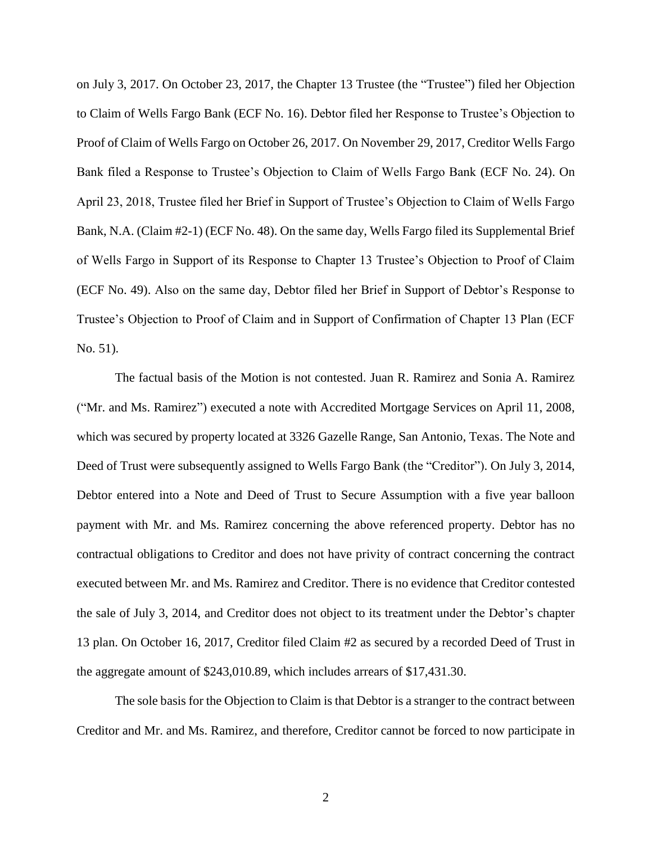on July 3, 2017. On October 23, 2017, the Chapter 13 Trustee (the "Trustee") filed her Objection to Claim of Wells Fargo Bank (ECF No. 16). Debtor filed her Response to Trustee's Objection to Proof of Claim of Wells Fargo on October 26, 2017. On November 29, 2017, Creditor Wells Fargo Bank filed a Response to Trustee's Objection to Claim of Wells Fargo Bank (ECF No. 24). On April 23, 2018, Trustee filed her Brief in Support of Trustee's Objection to Claim of Wells Fargo Bank, N.A. (Claim #2-1) (ECF No. 48). On the same day, Wells Fargo filed its Supplemental Brief of Wells Fargo in Support of its Response to Chapter 13 Trustee's Objection to Proof of Claim (ECF No. 49). Also on the same day, Debtor filed her Brief in Support of Debtor's Response to Trustee's Objection to Proof of Claim and in Support of Confirmation of Chapter 13 Plan (ECF No. 51).

The factual basis of the Motion is not contested. Juan R. Ramirez and Sonia A. Ramirez ("Mr. and Ms. Ramirez") executed a note with Accredited Mortgage Services on April 11, 2008, which was secured by property located at 3326 Gazelle Range, San Antonio, Texas. The Note and Deed of Trust were subsequently assigned to Wells Fargo Bank (the "Creditor"). On July 3, 2014, Debtor entered into a Note and Deed of Trust to Secure Assumption with a five year balloon payment with Mr. and Ms. Ramirez concerning the above referenced property. Debtor has no contractual obligations to Creditor and does not have privity of contract concerning the contract executed between Mr. and Ms. Ramirez and Creditor. There is no evidence that Creditor contested the sale of July 3, 2014, and Creditor does not object to its treatment under the Debtor's chapter 13 plan. On October 16, 2017, Creditor filed Claim #2 as secured by a recorded Deed of Trust in the aggregate amount of \$243,010.89, which includes arrears of \$17,431.30.

The sole basis for the Objection to Claim is that Debtor is a stranger to the contract between Creditor and Mr. and Ms. Ramirez, and therefore, Creditor cannot be forced to now participate in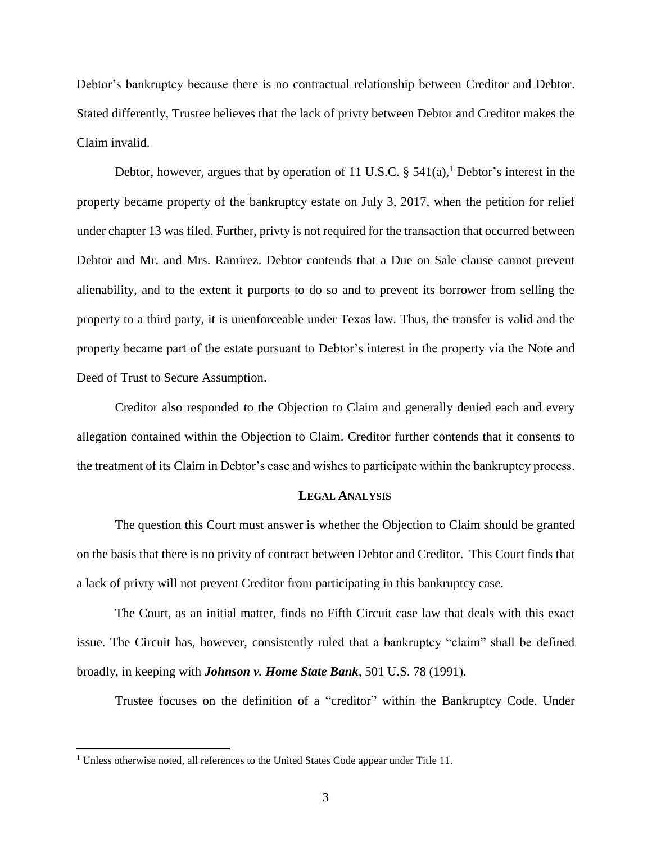Debtor's bankruptcy because there is no contractual relationship between Creditor and Debtor. Stated differently, Trustee believes that the lack of privty between Debtor and Creditor makes the Claim invalid.

Debtor, however, argues that by operation of 11 U.S.C.  $\S$  541(a),<sup>1</sup> Debtor's interest in the property became property of the bankruptcy estate on July 3, 2017, when the petition for relief under chapter 13 was filed. Further, privty is not required for the transaction that occurred between Debtor and Mr. and Mrs. Ramirez. Debtor contends that a Due on Sale clause cannot prevent alienability, and to the extent it purports to do so and to prevent its borrower from selling the property to a third party, it is unenforceable under Texas law. Thus, the transfer is valid and the property became part of the estate pursuant to Debtor's interest in the property via the Note and Deed of Trust to Secure Assumption.

Creditor also responded to the Objection to Claim and generally denied each and every allegation contained within the Objection to Claim. Creditor further contends that it consents to the treatment of its Claim in Debtor's case and wishes to participate within the bankruptcy process.

#### **LEGAL ANALYSIS**

The question this Court must answer is whether the Objection to Claim should be granted on the basis that there is no privity of contract between Debtor and Creditor. This Court finds that a lack of privty will not prevent Creditor from participating in this bankruptcy case.

The Court, as an initial matter, finds no Fifth Circuit case law that deals with this exact issue. The Circuit has, however, consistently ruled that a bankruptcy "claim" shall be defined broadly, in keeping with *Johnson v. Home State Bank*, 501 U.S. 78 (1991).

Trustee focuses on the definition of a "creditor" within the Bankruptcy Code. Under

 $\overline{a}$ 

<sup>&</sup>lt;sup>1</sup> Unless otherwise noted, all references to the United States Code appear under Title 11.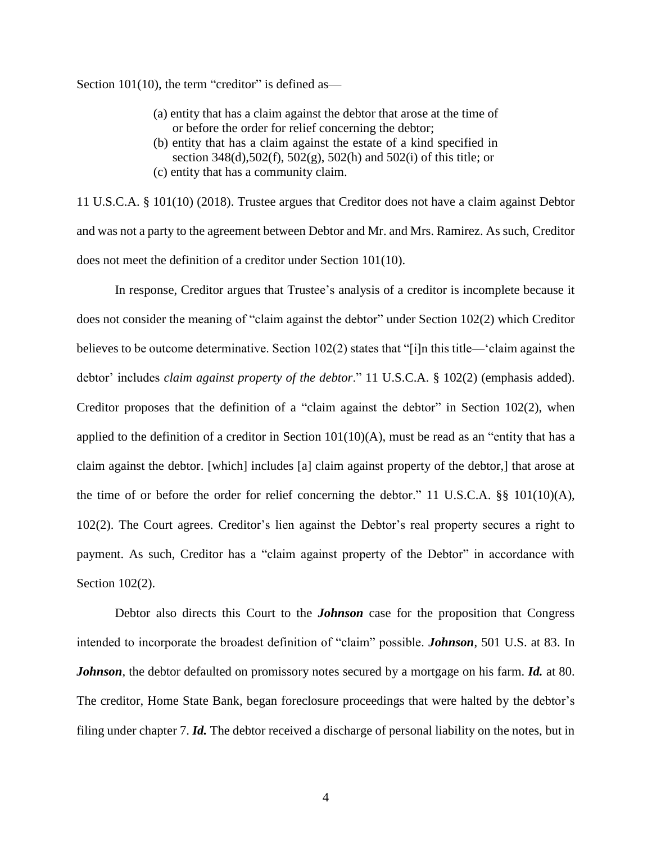Section 101(10), the term "creditor" is defined as—

- (a) entity that has a claim against the debtor that arose at the time of or before the order for relief concerning the debtor;
- (b) entity that has a claim against the estate of a kind specified in section 348(d),502(f), 502(g), 502(h) and 502(i) of this title; or
- (c) entity that has a community claim.

11 U.S.C.A. § 101(10) (2018). Trustee argues that Creditor does not have a claim against Debtor and was not a party to the agreement between Debtor and Mr. and Mrs. Ramirez. As such, Creditor does not meet the definition of a creditor under Section 101(10).

In response, Creditor argues that Trustee's analysis of a creditor is incomplete because it does not consider the meaning of "claim against the debtor" under Section 102(2) which Creditor believes to be outcome determinative. Section  $102(2)$  states that "[i]n this title—'claim against the debtor' includes *claim against property of the debtor*." 11 U.S.C.A. § 102(2) (emphasis added). Creditor proposes that the definition of a "claim against the debtor" in Section 102(2), when applied to the definition of a creditor in Section  $101(10)(A)$ , must be read as an "entity that has a claim against the debtor. [which] includes [a] claim against property of the debtor,] that arose at the time of or before the order for relief concerning the debtor." 11 U.S.C.A. §§ 101(10)(A), 102(2). The Court agrees. Creditor's lien against the Debtor's real property secures a right to payment. As such, Creditor has a "claim against property of the Debtor" in accordance with Section 102(2).

Debtor also directs this Court to the *Johnson* case for the proposition that Congress intended to incorporate the broadest definition of "claim" possible. *Johnson*, 501 U.S. at 83. In *Johnson*, the debtor defaulted on promissory notes secured by a mortgage on his farm. *Id.* at 80. The creditor, Home State Bank, began foreclosure proceedings that were halted by the debtor's filing under chapter 7. *Id.* The debtor received a discharge of personal liability on the notes, but in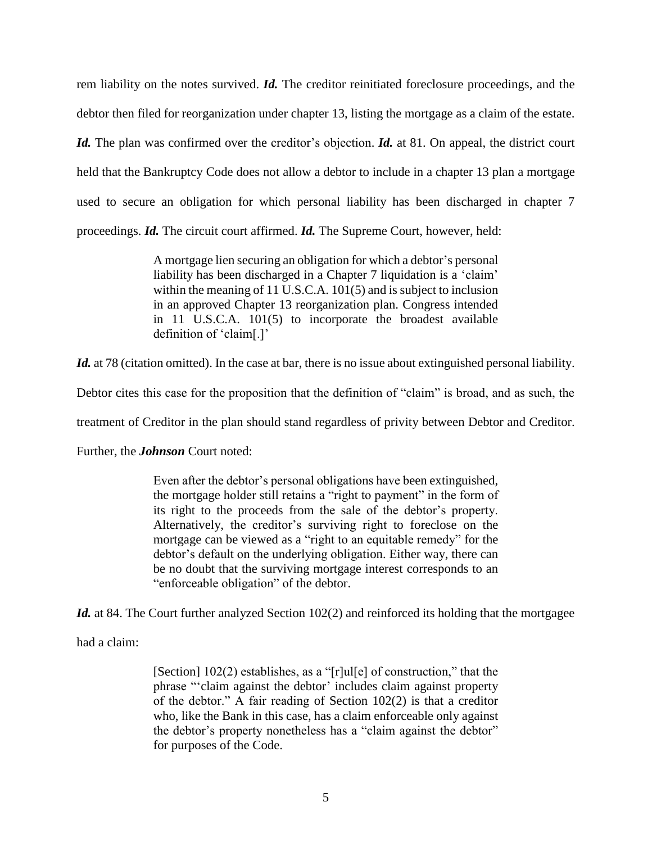rem liability on the notes survived. *Id.* The creditor reinitiated foreclosure proceedings, and the debtor then filed for reorganization under chapter 13, listing the mortgage as a claim of the estate. *Id.* The plan was confirmed over the creditor's objection. *Id.* at 81. On appeal, the district court held that the Bankruptcy Code does not allow a debtor to include in a chapter 13 plan a mortgage used to secure an obligation for which personal liability has been discharged in chapter 7 proceedings. *Id.* The circuit court affirmed. *Id.* The Supreme Court, however, held:

> A mortgage lien securing an obligation for which a debtor's personal liability has been discharged in a Chapter 7 liquidation is a 'claim' within the meaning of 11 U.S.C.A. 101(5) and is subject to inclusion in an approved Chapter 13 reorganization plan. Congress intended in 11 U.S.C.A. 101(5) to incorporate the broadest available definition of 'claim[.]'

Id. at 78 (citation omitted). In the case at bar, there is no issue about extinguished personal liability.

Debtor cites this case for the proposition that the definition of "claim" is broad, and as such, the

treatment of Creditor in the plan should stand regardless of privity between Debtor and Creditor.

Further, the *Johnson* Court noted:

Even after the debtor's personal obligations have been extinguished, the mortgage holder still retains a "right to payment" in the form of its right to the proceeds from the sale of the debtor's property. Alternatively, the creditor's surviving right to foreclose on the mortgage can be viewed as a "right to an equitable remedy" for the debtor's default on the underlying obligation. Either way, there can be no doubt that the surviving mortgage interest corresponds to an "enforceable obligation" of the debtor.

Id. at 84. The Court further analyzed Section 102(2) and reinforced its holding that the mortgagee

had a claim:

[Section] 102(2) establishes, as a "[r]ul[e] of construction," that the phrase "'claim against the debtor' includes claim against property of the debtor." A fair reading of Section 102(2) is that a creditor who, like the Bank in this case, has a claim enforceable only against the debtor's property nonetheless has a "claim against the debtor" for purposes of the Code.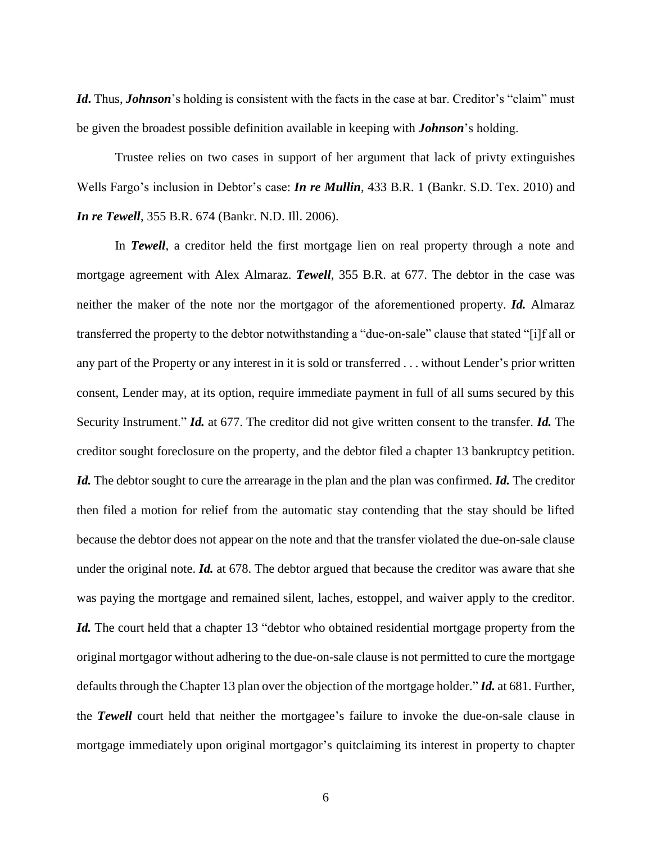*Id***.** Thus, *Johnson*'s holding is consistent with the facts in the case at bar. Creditor's "claim" must be given the broadest possible definition available in keeping with *Johnson*'s holding.

Trustee relies on two cases in support of her argument that lack of privty extinguishes Wells Fargo's inclusion in Debtor's case: *In re Mullin*, 433 B.R. 1 (Bankr. S.D. Tex. 2010) and *In re Tewell*, 355 B.R. 674 (Bankr. N.D. Ill. 2006).

In **Tewell**, a creditor held the first mortgage lien on real property through a note and mortgage agreement with Alex Almaraz. *Tewell*, 355 B.R. at 677. The debtor in the case was neither the maker of the note nor the mortgagor of the aforementioned property. *Id.* Almaraz transferred the property to the debtor notwithstanding a "due-on-sale" clause that stated "[i]f all or any part of the Property or any interest in it is sold or transferred . . . without Lender's prior written consent, Lender may, at its option, require immediate payment in full of all sums secured by this Security Instrument." *Id.* at 677. The creditor did not give written consent to the transfer. *Id.* The creditor sought foreclosure on the property, and the debtor filed a chapter 13 bankruptcy petition. *Id.* The debtor sought to cure the arrearage in the plan and the plan was confirmed. *Id.* The creditor then filed a motion for relief from the automatic stay contending that the stay should be lifted because the debtor does not appear on the note and that the transfer violated the due-on-sale clause under the original note. *Id.* at 678. The debtor argued that because the creditor was aware that she was paying the mortgage and remained silent, laches, estoppel, and waiver apply to the creditor. Id. The court held that a chapter 13 "debtor who obtained residential mortgage property from the original mortgagor without adhering to the due-on-sale clause is not permitted to cure the mortgage defaults through the Chapter 13 plan over the objection of the mortgage holder." *Id.* at 681. Further, the *Tewell* court held that neither the mortgagee's failure to invoke the due-on-sale clause in mortgage immediately upon original mortgagor's quitclaiming its interest in property to chapter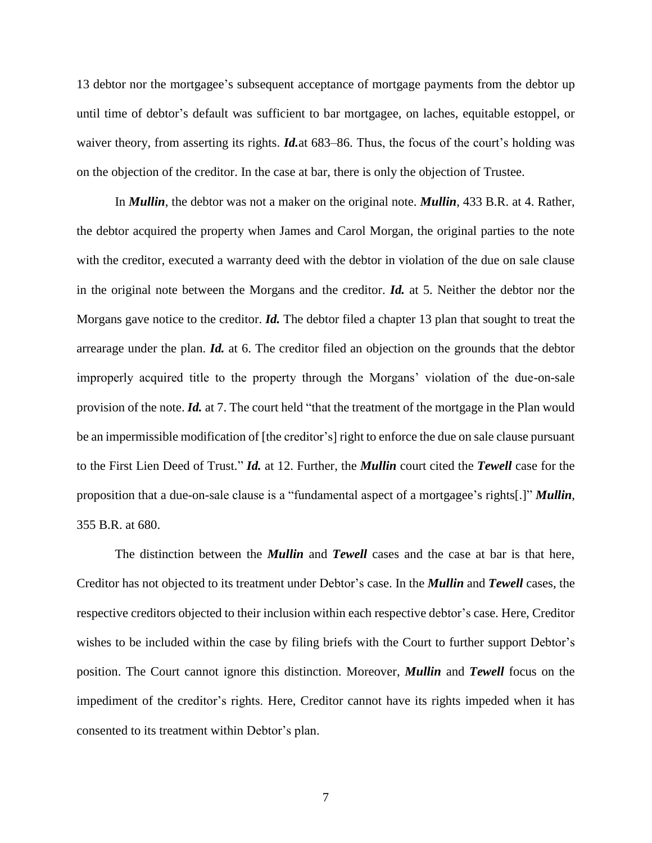13 debtor nor the mortgagee's subsequent acceptance of mortgage payments from the debtor up until time of debtor's default was sufficient to bar mortgagee, on laches, equitable estoppel, or waiver theory, from asserting its rights. *Id.*at 683–86. Thus, the focus of the court's holding was on the objection of the creditor. In the case at bar, there is only the objection of Trustee.

In *Mullin*, the debtor was not a maker on the original note. *Mullin*, 433 B.R. at 4. Rather, the debtor acquired the property when James and Carol Morgan, the original parties to the note with the creditor, executed a warranty deed with the debtor in violation of the due on sale clause in the original note between the Morgans and the creditor. *Id.* at 5. Neither the debtor nor the Morgans gave notice to the creditor. *Id.* The debtor filed a chapter 13 plan that sought to treat the arrearage under the plan. *Id.* at 6. The creditor filed an objection on the grounds that the debtor improperly acquired title to the property through the Morgans' violation of the due-on-sale provision of the note. *Id.* at 7. The court held "that the treatment of the mortgage in the Plan would be an impermissible modification of [the creditor's] right to enforce the due on sale clause pursuant to the First Lien Deed of Trust." *Id.* at 12. Further, the *Mullin* court cited the *Tewell* case for the proposition that a due-on-sale clause is a "fundamental aspect of a mortgagee's rights[.]" *Mullin*, 355 B.R. at 680.

The distinction between the *Mullin* and *Tewell* cases and the case at bar is that here, Creditor has not objected to its treatment under Debtor's case. In the *Mullin* and *Tewell* cases, the respective creditors objected to their inclusion within each respective debtor's case. Here, Creditor wishes to be included within the case by filing briefs with the Court to further support Debtor's position. The Court cannot ignore this distinction. Moreover, *Mullin* and *Tewell* focus on the impediment of the creditor's rights. Here, Creditor cannot have its rights impeded when it has consented to its treatment within Debtor's plan.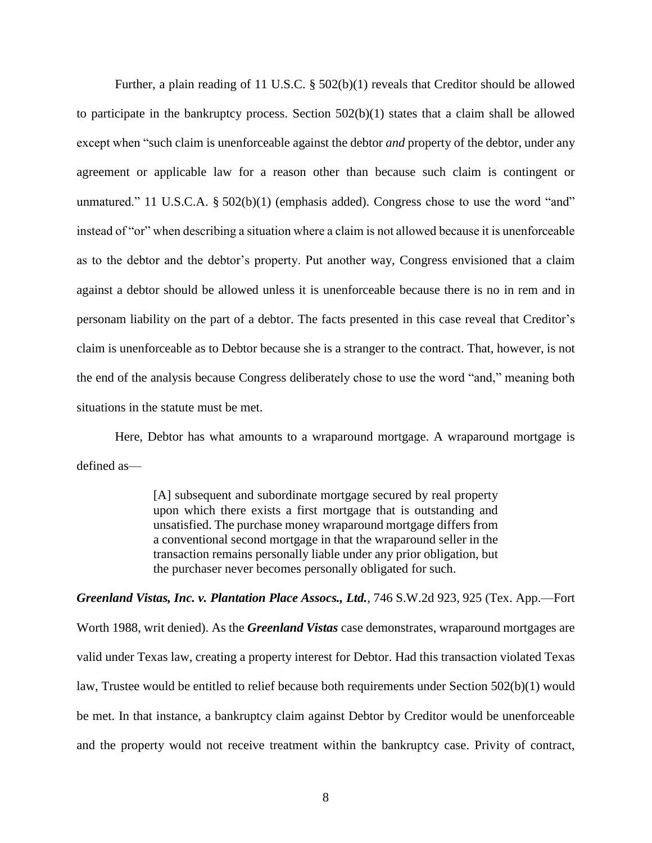Further, a plain reading of 11 U.S.C. § 502(b)(1) reveals that Creditor should be allowed to participate in the bankruptcy process. Section 502(b)(1) states that a claim shall be allowed except when "such claim is unenforceable against the debtor *and* property of the debtor, under any agreement or applicable law for a reason other than because such claim is contingent or unmatured." 11 U.S.C.A. § 502(b)(1) (emphasis added). Congress chose to use the word "and" instead of "or" when describing a situation where a claim is not allowed because it is unenforceable as to the debtor and the debtor's property. Put another way, Congress envisioned that a claim against a debtor should be allowed unless it is unenforceable because there is no in rem and in personam liability on the part of a debtor. The facts presented in this case reveal that Creditor's claim is unenforceable as to Debtor because she is a stranger to the contract. That, however, is not the end of the analysis because Congress deliberately chose to use the word "and," meaning both situations in the statute must be met.

Here, Debtor has what amounts to a wraparound mortgage. A wraparound mortgage is defined as—

> [A] subsequent and subordinate mortgage secured by real property upon which there exists a first mortgage that is outstanding and unsatisfied. The purchase money wraparound mortgage differs from a conventional second mortgage in that the wraparound seller in the transaction remains personally liable under any prior obligation, but the purchaser never becomes personally obligated for such.

*Greenland Vistas, Inc. v. Plantation Place Assocs., Ltd.*, 746 S.W.2d 923, 925 (Tex. App.—Fort Worth 1988, writ denied). As the *Greenland Vistas* case demonstrates, wraparound mortgages are valid under Texas law, creating a property interest for Debtor. Had this transaction violated Texas law, Trustee would be entitled to relief because both requirements under Section 502(b)(1) would be met. In that instance, a bankruptcy claim against Debtor by Creditor would be unenforceable and the property would not receive treatment within the bankruptcy case. Privity of contract,